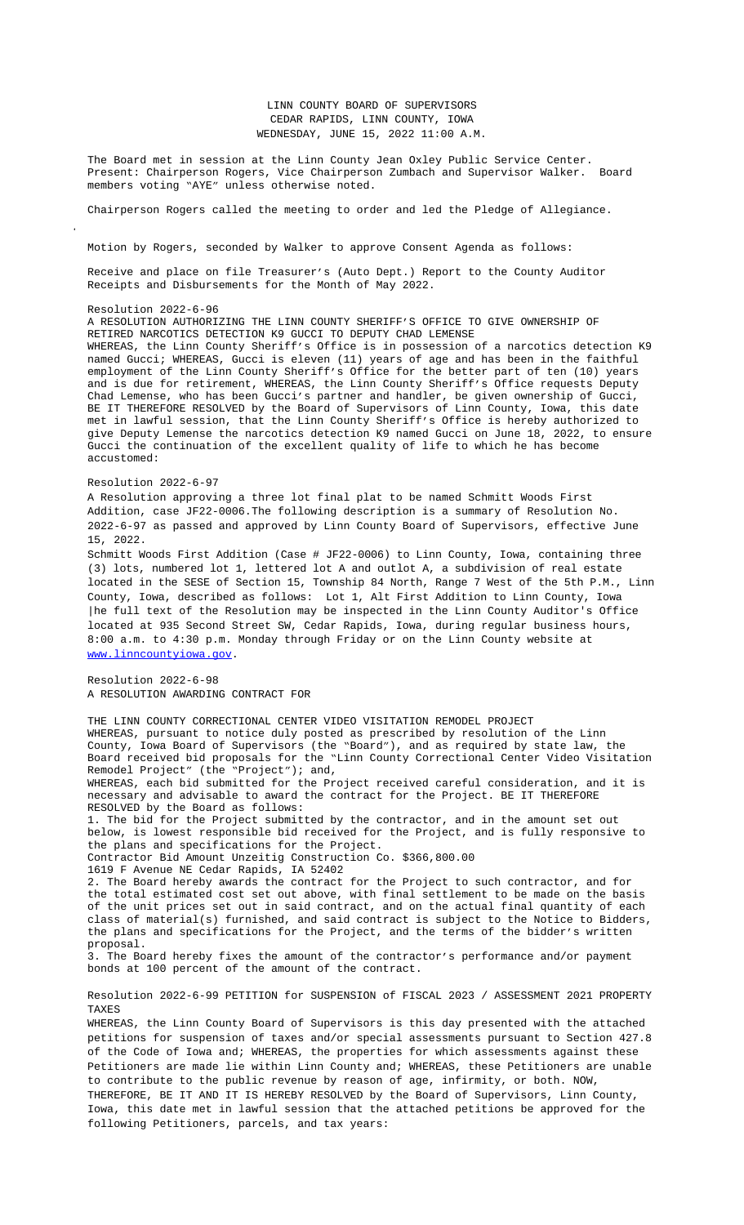Receive and place on file Treasurer's (Auto Dept.) Report to the County Auditor Receipts and Disbursements for the Month of May 2022.

## Resolution 2022-6-96

A RESOLUTION AUTHORIZING THE LINN COUNTY SHERIFF'S OFFICE TO GIVE OWNERSHIP OF RETIRED NARCOTICS DETECTION K9 GUCCI TO DEPUTY CHAD LEMENSE WHEREAS, the Linn County Sheriff's Office is in possession of a narcotics detection K9 named Gucci; WHEREAS, Gucci is eleven (11) years of age and has been in the faithful employment of the Linn County Sheriff's Office for the better part of ten (10) years and is due for retirement, WHEREAS, the Linn County Sheriff's Office requests Deputy Chad Lemense, who has been Gucci's partner and handler, be given ownership of Gucci, BE IT THEREFORE RESOLVED by the Board of Supervisors of Linn County, Iowa, this date met in lawful session, that the Linn County Sheriff's Office is hereby authorized to give Deputy Lemense the narcotics detection K9 named Gucci on June 18, 2022, to ensure Gucci the continuation of the excellent quality of life to which he has become accustomed:

## Resolution 2022-6-97

A Resolution approving a three lot final plat to be named Schmitt Woods First Addition, case JF22-0006.The following description is a summary of Resolution No. 2022-6-97 as passed and a[pproved by Linn County Board of S](Documents/6-15%20Treasurer)upervisors, effective June 15, 2022.

Schmitt Woods First Addition (Case # JF22-0006) to Linn County, Iowa, containing three (3) lots, numbered lot 1, lettered lot A and outlot A, a subdivision of real estate located in the SESE of Section 15, Township 84 North, Range 7 West of the 5th P.M., Linn County, Iowa, described as follows: Lot 1, Alt First Addition to Linn County, Iowa |he full text of the Resolution may be inspected in the Linn County Auditor's Office located at 935 Second Street SW, Cedar Rapids, Iowa, during regular business hours, 8:00 a.m. to 4:30 p.m. Monday through Friday or on the Linn County website at www.linncountyiowa.gov.

Resolution 2022-6-98 A RESOLUTION AWARDING CONTRACT FOR

THE LINN COUNTY CORRECTIONAL CENTER VIDEO VISITATION REMODEL PROJECT WHEREAS, pursuant to notice duly posted as prescribed by resolution of the Linn County, Iowa Board of Supervisors (the "Board"), and as required by state law, the Board received bid proposals for the "Linn County Correctional Center Video Visitation Remodel Project" (the "Project"); and,

WHEREAS, each bid submitted for the Project received careful consideration, and it is necessary and advisable to award the contract for the Project. BE IT THEREFORE RESOLVED by the Board as follows:

1. The bid for the Project submitted by the contractor, and in the amount set out below, is lowest responsible bid received for the Project, and is fully responsive to the plans and specifications for the Project.

Contractor Bid Amount Unzeitig Construction Co. \$366,800.00

1619 F Avenue NE Cedar Rapids, IA 52402

2. The Board hereby awards the contract for the Project to such contractor, and for the total estimated cost set out above, with final settlement to be made on the basis of the unit prices set out in said contract, and on the actual final quantity of each [class of material\(s\) fu](http://www.linncountyiowa.gov)rnished, and said contract is subject to the Notice to Bidders, the plans and specifications for the Project, and the terms of the bidder's written proposal.

3. The Board hereby fixes the amount of the contractor's performance and/or payment bonds at 100 percent of the amount of the contract.

Resolution 2022-6-99 PETITION for SUSPENSION of FISCAL 2023 / ASSESSMENT 2021 PROPERTY TAXES

WHEREAS, the Linn County Board of Supervisors is this day presented with the attached petitions for suspension of taxes and/or special assessments pursuant to Section 427.8 of the Code of Iowa and; WHEREAS, the properties for which assessments against these Petitioners are made lie within Linn County and; WHEREAS, these Petitioners are unable to contribute to the public revenue by reason of age, infirmity, or both. NOW, THEREFORE, BE IT AND IT IS HEREBY RESOLVED by the Board of Supervisors, Linn County, Iowa, this date met in lawful session that the attached petitions be approved for the following Petitioners, parcels, and tax years: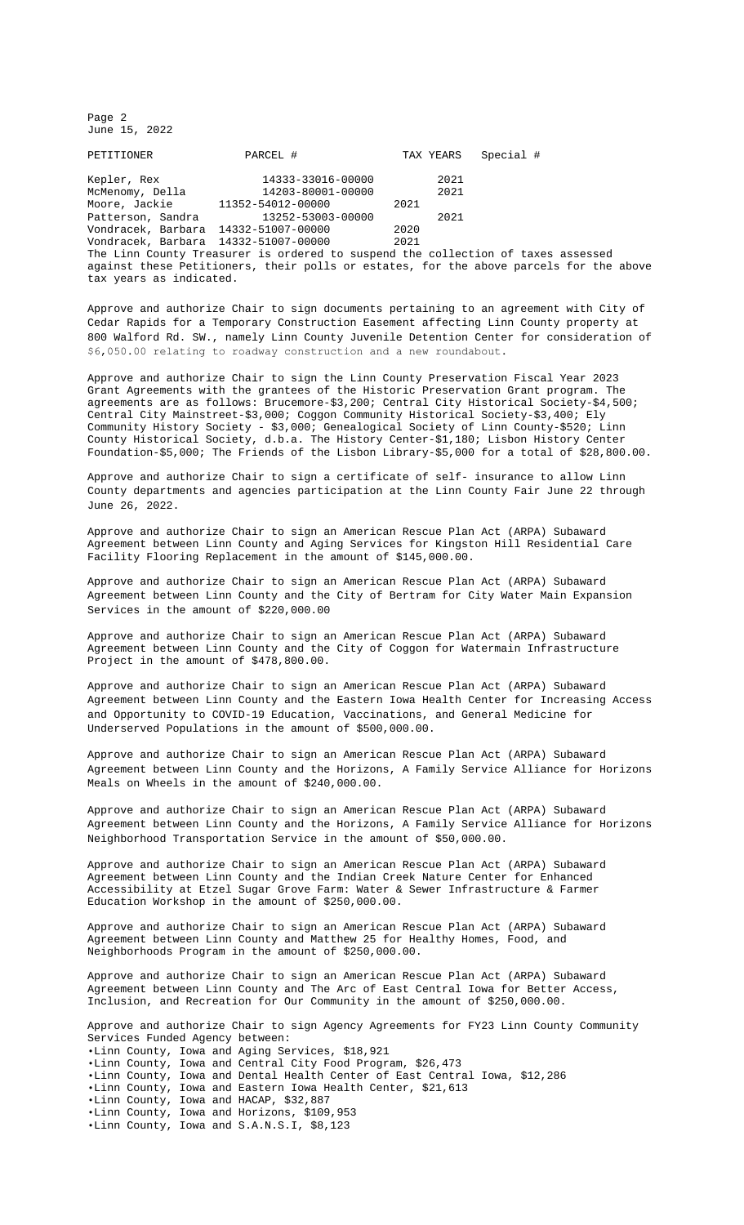against these Petitioners, their polls or estates, for the above parcels for the above tax years as indicated.

Approve and authorize Chair to sign documents pertaining to an agreement with City of Cedar Rapids for a Temporary Construction Easement affecting Linn County property at 800 Walford Rd. SW., namely Linn County Juvenile Detention Center for consideration of \$6,050.00 relating to roadway construction and a new roundabout.

Approve and authorize Chair to sign the Linn County Preservation Fiscal Year 2023 Grant Agreements with the grantees of the Historic Preservation Grant program. The agreements are as follows: Brucemore-\$3,200; Central City Historical Society-\$4,500; Central City Mainstreet-\$3,000; Coggon Community Historical Society-\$3,400; Ely Community History Society - \$3,000; Genealogical Society of Linn County-\$520; Linn County Historical Society, d.b.a. The History Center-\$1,180; Lisbon History Center Foundation-\$5,000; The Friends of the Lisbon Library-\$5,000 for a total of \$28,800.00.

Approve and authorize Chair to sign a certificate of self- insurance to allow Linn County departments and agencies participation at the Linn County Fair June 22 through June 26, 2022.

Approve and authorize Chair to sign an American Rescue Plan Act (ARPA) Subaward Agreement between Linn County and Aging Services for Kingston Hill Residential Care Facility Flooring Replacement in the amount of \$145,000.00.

Approve and authorize Chair to sign an American Rescue Plan Act (ARPA) Subaward [Agreement between Lin](Documents/6-13%20&%206-15%20800%20Walford%20rd%20temporary%20easement%20with%20Cedar%20Rapids.pdf)n County and the City of Bertram for City Water Main Expansion Services in the amount of \$220,000.00

Approve and authorize Chair to sign an American Rescue Plan Act (ARPA) Subaward Agreement between Linn County and the City [of Coggon for Watermain Infrastruct](Documents/6-13%20&%206-15%20FY23%20HPC%20Grant%20Funding%20Recommendations.pdf)ure Project in the amount of \$478,800.00.

Approve and authorize Chair to sign an American Rescue Plan Act (ARPA) Subaward Agreement between Linn County and the Eastern Iowa Health Center for Increasing Access and Opportunity to COVID-19 Education, Vaccinations, and General Medicine for Underserved Populations in the amount of \$500,000.00.

Approve and authorize Chair to sign an American Resc[ue Plan Act \(ARPA\)](Documents/6-15%20LC%20Fair%20Certificate.pdf) Subaward Agreement between Linn County and the Horizons, A Family Service Alliance for Horizons Meals on Wheels in the amount of \$240,000.00.

Approve and authorize Chair to sig[n an American](Documents/6-15%20ARPA%20-%20Aging%20Services.pdf) Rescue Plan Act (ARPA) Subaward Agreement between Linn County and the Horizons, A Family Service Alliance for Horizons Neighborhood Transportation Service in the amount of \$50,000.00.

Approve and authorize Chair to sign a[n American Rescu](Documents/6-15%20ARPA%20-%20Bertram%20-%20signed.pdf)e Plan Act (ARPA) Subaward Agreement between Linn County and the Indian Creek Nature Center for Enhanced Accessibility at Etzel Sugar Grove Farm: Water & Sewer Infrastructure & Farmer Education Workshop in the amount of \$[250,000.00.](Documents/6-15%20ARPA%20-%20Coggon.pdf)

Approve and authorize Chair to sign an American Rescue Plan Act (ARPA) Subaward Agreement between Linn County and Matthew 25 for Healthy Homes, Food, and Neighborhoods Program in the amount o[f \\$250,000.00.](Documents/6-15%20ARPA%20-%20EIHC.pdf)

Approve and authorize Chair to sign an American Rescue Plan Act (ARPA) Subaward Agreement between Linn County and The Arc of East Central Iowa for Better Access, Inclusion, and Recreation for Our Community in the amount of \$250,000.00.

Approve and authorize Chair to sign Agency Agreements for FY23 Linn County Co[mmunity](Documents/6-15%20ARPA%20-%20Horizons%20Meels%20On%20Wheels.pdf)  Services Funded Agency between: •Linn County, Iowa and Aging Services, \$18,921 •Linn County, Iowa and Central City Food Program, \$26,473 •Linn County, Iowa and Dental Health Center of East Central Iowa, \$12,286 •Linn County, Iowa and Eastern Iowa Health Center, \$21,613 •Linn County, Iowa and HACAP, \$32,887 •Linn County, Iowa and Horizons, \$109,953 •Linn County, Iowa and S.A.N.S.I, \$8,123